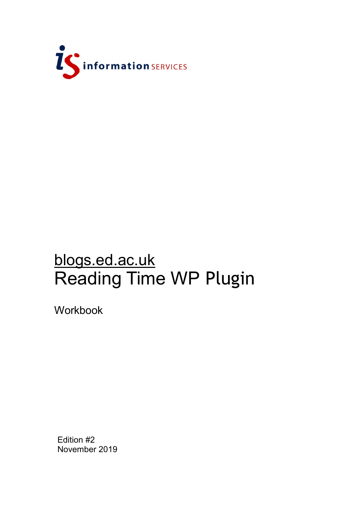

# blogs.ed.ac.uk Reading Time WP Plugin

Workbook

Edition #2 November 2019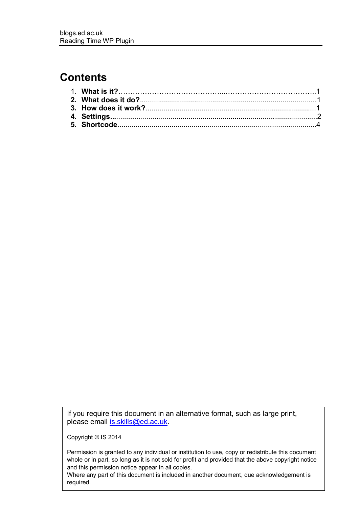#### **Contents**

If you require this document in an alternative format, such as large print, please email [is.skills@ed.ac.uk.](mailto:is.skills@ed.ac.uk)

Copyright © IS 2014

Permission is granted to any individual or institution to use, copy or redistribute this document whole or in part, so long as it is not sold for profit and provided that the above copyright notice and this permission notice appear in all copies.

Where any part of this document is included in another document, due acknowledgement is required.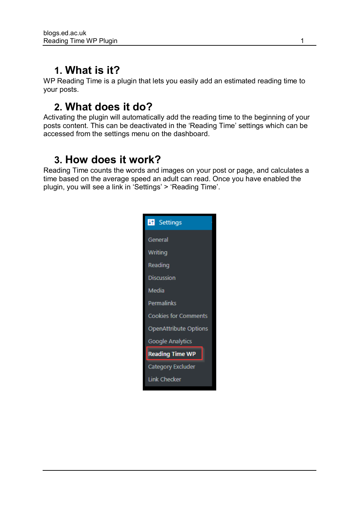## **1. What is it?**

WP Reading Time is a plugin that lets you easily add an estimated reading time to your posts.

### **2. What does it do?**

Activating the plugin will automatically add the reading time to the beginning of your posts content. This can be deactivated in the 'Reading Time' settings which can be accessed from the settings menu on the dashboard.

#### **3. How does it work?**

Reading Time counts the words and images on your post or page, and calculates a time based on the average speed an adult can read. Once you have enabled the plugin, you will see a link in 'Settings' > 'Reading Time'.

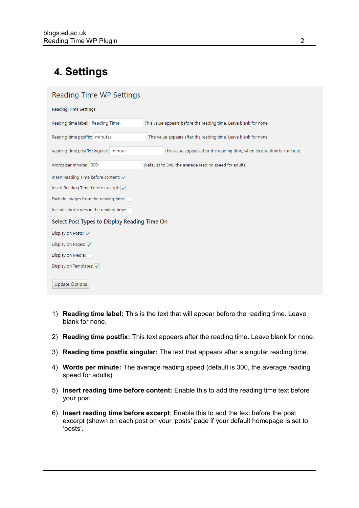# **4. Settings**

| Reading Time WP Settings                     |                                                                           |  |  |
|----------------------------------------------|---------------------------------------------------------------------------|--|--|
| <b>Reading Time Settings</b>                 |                                                                           |  |  |
| Reading time label: Reading Time:            | This value appears before the reading time. Leave blank for none.         |  |  |
| Reading time postfix: minutes                | This value appears after the reading time. Leave blank for none.          |  |  |
| Reading time postfix singular: minute        | This value appears after the reading time, when lecture time is 1 minute. |  |  |
| Words per minute: 300                        | (defaults to 300, the average reading speed for adults)                   |  |  |
| Insert Reading Time before content:          |                                                                           |  |  |
| Insert Reading Time before excerpt:          |                                                                           |  |  |
| Exclude images from the reading time:        |                                                                           |  |  |
| Include shortcodes in the reading time:      |                                                                           |  |  |
| Select Post Types to Display Reading Time On |                                                                           |  |  |
| Display on Posts: √                          |                                                                           |  |  |
| Display on Pages:                            |                                                                           |  |  |
| Display on Media:                            |                                                                           |  |  |
| Display on Templates: V                      |                                                                           |  |  |
| <b>Update Options</b>                        |                                                                           |  |  |

- 1) **Reading time label:** This is the text that will appear before the reading time. Leave blank for none.
- 2) **Reading time postfix:** This text appears after the reading time. Leave blank for none.
- 3) **Reading time postfix singular:** The text that appears after a singular reading time.
- 4) **Words per minute:** The average reading speed (default is 300, the average reading speed for adults).
- 5) **Insert reading time before content:** Enable this to add the reading time text before your post.
- 6) **Insert reading time before excerpt**: Enable this to add the text before the post excerpt (shown on each post on your 'posts' page if your default homepage is set to 'posts'.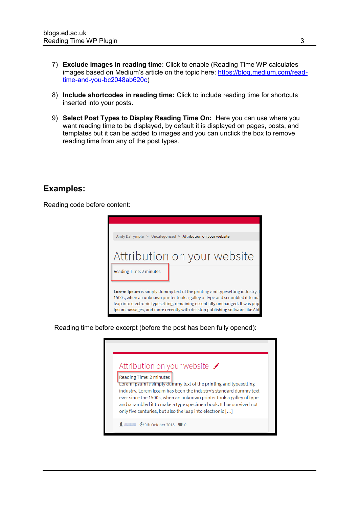- 7) **Exclude images in reading time**: Click to enable (Reading Time WP calculates images based on Medium's article on the topic here: [https://blog.medium.com/read](https://blog.medium.com/read-time-and-you-bc2048ab620c)[time-and-you-bc2048ab620c\)](https://blog.medium.com/read-time-and-you-bc2048ab620c)
- 8) **Include shortcodes in reading time:** Click to include reading time for shortcuts inserted into your posts.
- 9) **Select Post Types to Display Reading Time On:** Here you can use where you want reading time to be displayed, by default it is displayed on pages, posts, and templates but it can be added to images and you can unclick the box to remove reading time from any of the post types.

#### **Examples:**

Reading code before content:



Reading time before excerpt (before the post has been fully opened):